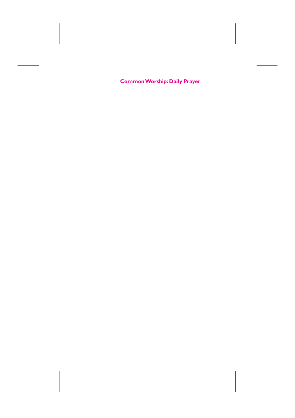**Common Worship: Daily Prayer**

L

 $\overline{\phantom{0}}$ 

 $\sim$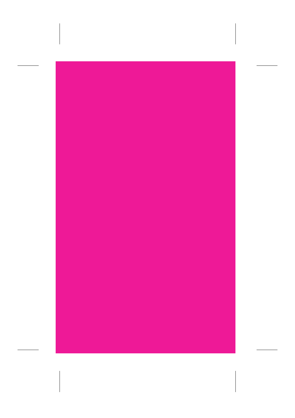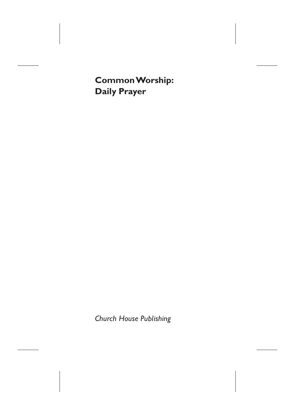**Common Worship: Daily Prayer**

*Church House Publishing*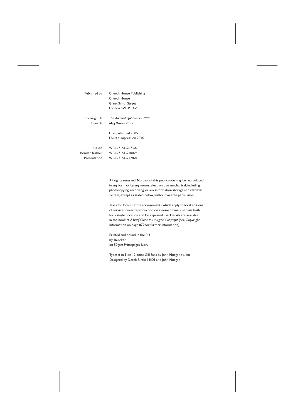| Published by   | Church House Publishing<br>Church House<br><b>Great Smith Street</b><br>London SWIP 3AZ |  |  |  |  |  |
|----------------|-----------------------------------------------------------------------------------------|--|--|--|--|--|
| Copyright ©    | The Archbishops' Council 2005                                                           |  |  |  |  |  |
| Index ©        | Meg Davies 2005                                                                         |  |  |  |  |  |
|                | First published 2005<br>Fourth impression 2010                                          |  |  |  |  |  |
| Cased          | 978-0-7151-2073-6                                                                       |  |  |  |  |  |
| Bonded leather | 978-0-7151-2100-9                                                                       |  |  |  |  |  |
| Presentation   | 978-0-7151-2178-8                                                                       |  |  |  |  |  |

All rights reserved. No part of this publication may be reproduced in any form or by any means, electronic or mechanical, including photocopying, recording, or any information storage and retrieval system, except as stated below, without written permission.

Texts for local use: the arrangements which apply to local editions of services cover reproduction on a non-commercial basis both for a single occasion and for repeated use. Details are available in the booklet *A Brief Guide to Liturgical Copyright* (see Copyright Information on page 879 for further information).

Printed and bound in the EU on 50gsm Primapages Ivory by Bercker

Typeset in 9 on 12 point Gill Sans by John Morgan studio Designed by Derek Birdsall RDI and John Morgan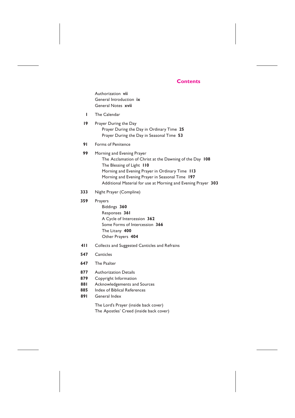## **Contents**

Authorization **vii** General Introduction **ix** General Notes **xvii**

**1** The Calendar

**19** Prayer During the Day Prayer During the Day in Ordinary Time **25** Prayer During the Day in Seasonal Time **53**

- **91** Forms of Penitence
- **99** Morning and Evening Prayer The Acclamation of Christ at the Dawning of the Day **108** The Blessing of Light **110** Morning and Evening Prayer in Ordinary Time **113** Morning and Evening Prayer in Seasonal Time **197** Additional Material for use at Morning and Evening Prayer **303**
- **333** Night Prayer (Compline)
- **359** Prayers

Biddings **360** Responses **361** A Cycle of Intercession **362** Some Forms of Intercession **366** The Litany **400** Other Prayers **404**

- **411** Collects and Suggested Canticles and Refrains
- **547** Canticles
- **647** The Psalter
- **877** Authorization Details
- **879** Copyright Information
- **881** Acknowledgements and Sources
- **885** Index of Biblical References
- **891** General Index

The Lord's Prayer (inside back cover) The Apostles' Creed (inside back cover)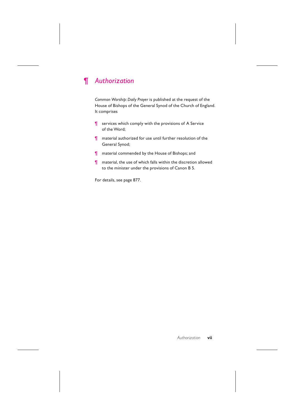## *¶ Authorization*

*Common Worship: Daily Prayer* is published at the request of the House of Bishops of the General Synod of the Church of England. It comprises

- ¶ services which comply with the provisions of A Service of the Word;
- ¶ material authorized for use until further resolution of the General Synod;
- ¶ material commended by the House of Bishops; and
- ¶ material, the use of which falls within the discretion allowed to the minister under the provisions of Canon B 5.

For details, see page 877.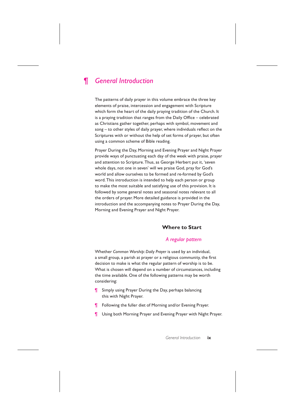## *¶ General Introduction*

The patterns of daily prayer in this volume embrace the three key elements of praise, intercession and engagement with Scripture which form the heart of the daily praying tradition of the Church. It is a praying tradition that ranges from the Daily Office – celebrated as Christians gather together, perhaps with symbol, movement and song – to other styles of daily prayer, where individuals reflect on the Scriptures with or without the help of set forms of prayer, but often using a common scheme of Bible reading.

Prayer During the Day, Morning and Evening Prayer and Night Prayer provide ways of punctuating each day of the week with praise, prayer and attention to Scripture. Thus, as George Herbert put it, 'seven whole days, not one in seven' will we praise God, pray for God's world and allow ourselves to be formed and re-formed by God's word. This introduction is intended to help each person or group to make the most suitable and satisfying use of this provision. It is followed by some general notes and seasonal notes relevant to all the orders of prayer. More detailed guidance is provided in the introduction and the accompanying notes to Prayer During the Day, Morning and Evening Prayer and Night Prayer.

## **Where to Start**

#### *A regular pattern*

Whether *Common Worship: Daily Prayer* is used by an individual, a small group, a parish at prayer or a religious community, the first decision to make is what the regular pattern of worship is to be. What is chosen will depend on a number of circumstances, including the time available. One of the following patterns may be worth considering:

- ¶ Simply using Prayer During the Day, perhaps balancing this with Night Prayer.
- ¶ Following the fuller diet of Morning and/or Evening Prayer.
- ¶ Using both Morning Prayer and Evening Prayer with Night Prayer.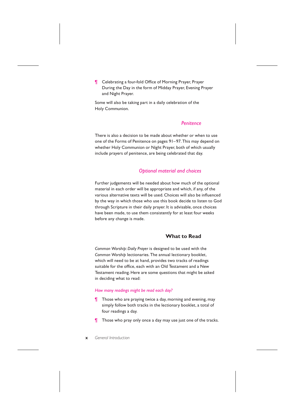¶ Celebrating a four-fold Office of Morning Prayer, Prayer During the Day in the form of Midday Prayer, Evening Prayer and Night Prayer.

Some will also be taking part in a daily celebration of the Holy Communion.

#### *Penitence*

There is also a decision to be made about whether or when to use one of the Forms of Penitence on pages 91–97. This may depend on whether Holy Communion or Night Prayer, both of which usually include prayers of penitence, are being celebrated that day.

### *Optional material and choices*

Further judgements will be needed about how much of the optional material in each order will be appropriate and which, if any, of the various alternative texts will be used. Choices will also be influenced by the way in which those who use this book decide to listen to God through Scripture in their daily prayer. It is advisable, once choices have been made, to use them consistently for at least four weeks before any change is made.

## **What to Read**

*Common Worship: Daily Prayer* is designed to be used with the *Common Worship* lectionaries. The annual lectionary booklet, which will need to be at hand, provides two tracks of readings suitable for the office, each with an Old Testament and a New Testament reading. Here are some questions that might be asked in deciding what to read:

#### *How many readings might be read each day?*

- **Those who are praying twice a day, morning and evening, may** simply follow both tracks in the lectionary booklet, a total of four readings a day.
- **T** Those who pray only once a day may use just one of the tracks.
- **x** *General Introduction*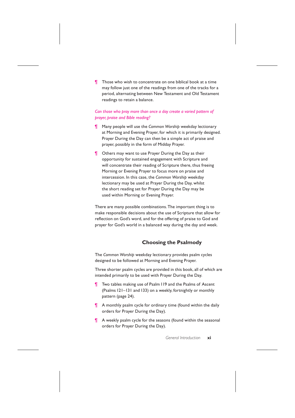Those who wish to concentrate on one biblical book at a time may follow just one of the readings from one of the tracks for a period, alternating between New Testament and Old Testament readings to retain a balance.

## *Can those who pray more than once a day create a varied pattern of prayer, praise and Bible reading?*

- ¶ Many people will use the *Common Worship* weekday lectionary at Morning and Evening Prayer, for which it is primarily designed. Prayer During the Day can then be a simple act of praise and prayer, possibly in the form of Midday Prayer.
- **T** Others may want to use Prayer During the Day as their opportunity for sustained engagement with Scripture and will concentrate their reading of Scripture there, thus freeing Morning or Evening Prayer to focus more on praise and intercession. In this case, the *Common Worship* weekday lectionary may be used at Prayer During the Day, whilst the short reading set for Prayer During the Day may be used within Morning or Evening Prayer.

There are many possible combinations. The important thing is to make responsible decisions about the use of Scripture that allow for reflection on God's word, and for the offering of praise to God and prayer for God's world in a balanced way during the day and week.

## **Choosing the Psalmody**

The *Common Worship* weekday lectionary provides psalm cycles designed to be followed at Morning and Evening Prayer.

Three shorter psalm cycles are provided in this book, all of which are intended primarily to be used with Prayer During the Day.

- ¶ Two tables making use of Psalm 119 and the Psalms of Ascent (Psalms 121–131 and 133) on a weekly, fortnightly or monthly pattern (page 24).
- ¶ A monthly psalm cycle for ordinary time (found within the daily orders for Prayer During the Day).
- ¶ A weekly psalm cycle for the seasons (found within the seasonal orders for Prayer During the Day).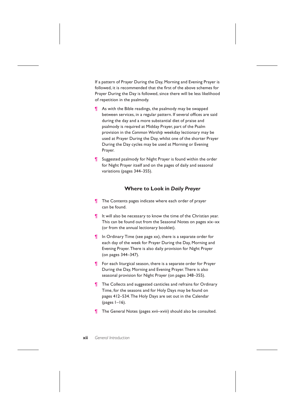If a pattern of Prayer During the Day, Morning and Evening Prayer is followed, it is recommended that the first of the above schemes for Prayer During the Day is followed, since there will be less likelihood of repetition in the psalmody.

- ¶ As with the Bible readings, the psalmody may be swapped between services, in a regular pattern. If several offices are said during the day and a more substantial diet of praise and psalmody is required at Midday Prayer, part of the Psalm provision in the *Common Worship* weekday lectionary may be used at Prayer During the Day, whilst one of the shorter Prayer During the Day cycles may be used at Morning or Evening Prayer.
- ¶ Suggested psalmody for Night Prayer is found within the order for Night Prayer itself and on the pages of daily and seasonal variations (pages 344–355).

## **Where to Look in** *Daily Prayer*

- ¶ The Contents pages indicate where each order of prayer can be found.
- It will also be necessary to know the time of the Christian year. This can be found out from the Seasonal Notes on pages xix–xx (or from the annual lectionary booklet).
- ¶ In Ordinary Time (see page xx), there is a separate order for each day of the week for Prayer During the Day, Morning and Evening Prayer. There is also daily provision for Night Prayer (on pages 344–347).
- ¶ For each liturgical season, there is a separate order for Prayer During the Day, Morning and Evening Prayer. There is also seasonal provision for Night Prayer (on pages 348–355).
- ¶ The Collects and suggested canticles and refrains for Ordinary Time, for the seasons and for Holy Days may be found on pages 412–534. The Holy Days are set out in the Calendar  $(pages  $1-16)$ ).$
- ¶ The General Notes (pages xvii–xviii) should also be consulted.

#### **xii** *General Introduction*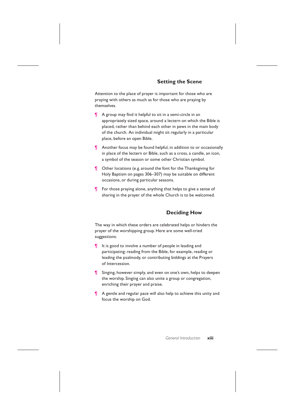## **Setting the Scene**

Attention to the place of prayer is important for those who are praying with others as much as for those who are praying by themselves.

- ¶ A group may find it helpful to sit in a semi-circle in an appropriately sized space, around a lectern on which the Bible is placed, rather than behind each other in pews in the main body of the church. An individual might sit regularly in a particular place, before an open Bible.
- ¶ Another focus may be found helpful, in addition to or occasionally in place of the lectern or Bible, such as a cross, a candle, an icon, a symbol of the season or some other Christian symbol.
- ¶ Other locations (e.g. around the font for the Thanksgiving for Holy Baptism on pages 306–307) may be suitable on different occasions, or during particular seasons.
- ¶ For those praying alone, anything that helps to give a sense of sharing in the prayer of the whole Church is to be welcomed.

#### **Deciding How**

The way in which these orders are celebrated helps or hinders the prayer of the worshipping group. Here are some well-tried suggestions:

- ¶ It is good to involve a number of people in leading and participating: reading from the Bible, for example, reading or leading the psalmody, or contributing biddings at the Prayers of Intercession.
- ¶ Singing, however simply, and even on one's own, helps to deepen the worship. Singing can also unite a group or congregation, enriching their prayer and praise.
- ¶ A gentle and regular pace will also help to achieve this unity and focus the worship on God.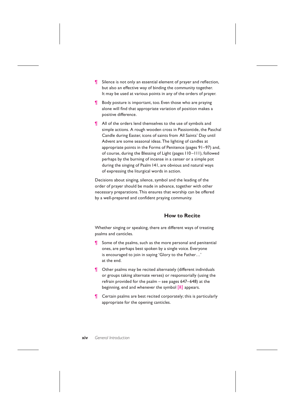- ¶ Silence is not only an essential element of prayer and reflection, but also an effective way of binding the community together. It may be used at various points in any of the orders of prayer.
- Body posture is important, too. Even those who are praying alone will find that appropriate variation of position makes a positive difference.
- ¶ All of the orders lend themselves to the use of symbols and simple actions. A rough wooden cross in Passiontide, the Paschal Candle during Easter, icons of saints from All Saints' Day until Advent are some seasonal ideas. The lighting of candles at appropriate points in the Forms of Penitence (pages 91–97) and, of course, during the Blessing of Light (pages 110–111), followed perhaps by the burning of incense in a censer or a simple pot during the singing of Psalm 141, are obvious and natural ways of expressing the liturgical words in action.

Decisions about singing, silence, symbol and the leading of the order of prayer should be made in advance, together with other necessary preparations. This ensures that worship can be offered by a well-prepared and confident praying community.

## **How to Recite**

Whether singing or speaking, there are different ways of treating psalms and canticles.

- ¶ Some of the psalms, such as the more personal and penitential ones, are perhaps best spoken by a single voice. Everyone is encouraged to join in saying 'Glory to the Father…' at the end.
- ¶ Other psalms may be recited alternately (different individuals or groups taking alternate verses) or responsorially (using the refrain provided for the psalm – see pages 647–648) at the beginning, end and whenever the symbol [*R*] appears.
- ¶ Certain psalms are best recited corporately; this is particularly appropriate for the opening canticles.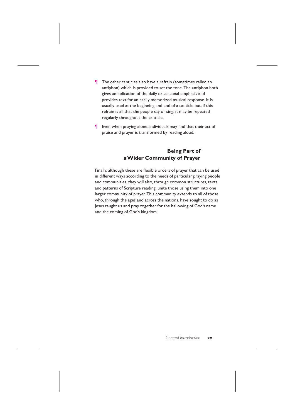- ¶ The other canticles also have a refrain (sometimes called an antiphon) which is provided to set the tone. The antiphon both gives an indication of the daily or seasonal emphasis and provides text for an easily memorized musical response. It is usually used at the beginning and end of a canticle but, if this refrain is all that the people say or sing, it may be repeated regularly throughout the canticle.
- ¶ Even when praying alone, individuals may find that their act of praise and prayer is transformed by reading aloud.

## **Being Part of a Wider Community of Prayer**

Finally, although these are flexible orders of prayer that can be used in different ways according to the needs of particular praying people and communities, they will also, through common structures, texts and patterns of Scripture reading, unite those using them into one larger community of prayer. This community extends to all of those who, through the ages and across the nations, have sought to do as Jesus taught us and pray together for the hallowing of God's name and the coming of God's kingdom.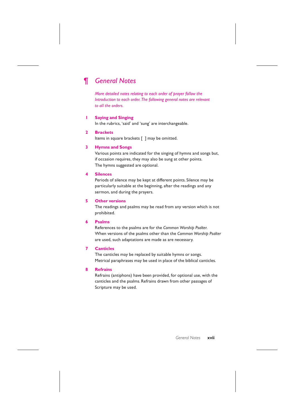## *¶ General Notes*

*More detailed notes relating to each order of prayer follow the Introduction to each order. The following general notes are relevant to all the orders.*

#### **1 Saying and Singing**

In the rubrics, 'said' and 'sung' are interchangeable.

**2 Brackets**

Items in square brackets [ ] may be omitted.

#### **3 Hymns and Songs**

Various points are indicated for the singing of hymns and songs but, if occasion requires, they may also be sung at other points. The hymns suggested are optional.

#### **4 Silences**

Periods of silence may be kept at different points. Silence may be particularly suitable at the beginning, after the readings and any sermon, and during the prayers.

## **5 Other versions**

The readings and psalms may be read from any version which is not prohibited.

#### **6 Psalms**

References to the psalms are for the *Common Worship Psalter.* When versions of the psalms other than the *Common Worship Psalter* are used, such adaptations are made as are necessary.

## **7 Canticles**

The canticles may be replaced by suitable hymns or songs. Metrical paraphrases may be used in place of the biblical canticles.

**8 Refrains**

Refrains (antiphons) have been provided, for optional use, with the canticles and the psalms. Refrains drawn from other passages of Scripture may be used.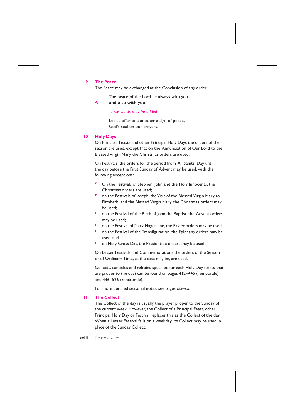#### **9 The Peace**

The Peace may be exchanged at the Conclusion of any order.

- The peace of the Lord be always with you
- *All* **and also with you.**

#### *These words may be added*

Let us offer one another a sign of peace, God's seal on our prayers.

#### **10 Holy Days**

On Principal Feasts and other Principal Holy Days the orders of the season are used, except that on the Annunciation of Our Lord to the Blessed Virgin Mary the Christmas orders are used.

On Festivals, the orders for the period from All Saints' Day until the day before the First Sunday of Advent may be used, with the following exceptions:

- ¶ On the Festivals of Stephen, John and the Holy Innocents, the Christmas orders are used;
- on the Festivals of Joseph, the Visit of the Blessed Virgin Mary to Elizabeth, and the Blessed Virgin Mary, the Christmas orders may be used;
- ¶ on the Festival of the Birth of John the Baptist, the Advent orders may be used;
- on the Festival of Mary Magdalene, the Easter orders may be used;
- ¶ on the Festival of the Transfiguration, the Epiphany orders may be used; and
- **T** on Holy Cross Day, the Passiontide orders may be used.

On Lesser Festivals and Commemorations the orders of the Season or of Ordinary Time, as the case may be, are used.

Collects, canticles and refrains specified for each Holy Day (texts that are proper to the day) can be found on pages 412–445 (Temporale) and 446–526 (Sanctorale).

For more detailed seasonal notes, see pages xix–xx.

#### **11 The Collect**

The Collect of the day is usually the prayer proper to the Sunday of the current week. However, the Collect of a Principal Feast, other Principal Holy Day or Festival replaces this as the Collect of the day. When a Lesser Festival falls on a weekday, its Collect may be used in place of the Sunday Collect.

**xviii** *General Notes*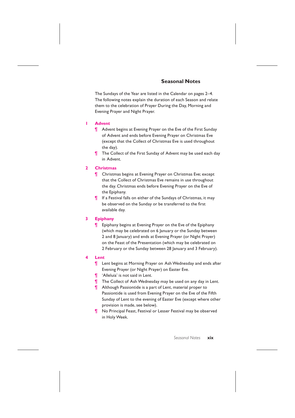## **Seasonal Notes**

The Sundays of the Year are listed in the Calendar on pages 2–4. The following notes explain the duration of each Season and relate them to the celebration of Prayer During the Day, Morning and Evening Prayer and Night Prayer.

#### **1 Advent**

- ¶ Advent begins at Evening Prayer on the Eve of the First Sunday of Advent and ends before Evening Prayer on Christmas Eve (except that the Collect of Christmas Eve is used throughout the day).
- ¶ The Collect of the First Sunday of Advent may be used each day in Advent.

#### **2 Christmas**

- ¶ Christmas begins at Evening Prayer on Christmas Eve; except that the Collect of Christmas Eve remains in use throughout the day. Christmas ends before Evening Prayer on the Eve of the Epiphany.
- ¶ If a Festival falls on either of the Sundays of Christmas, it may be observed on the Sunday or be transferred to the first available day.

#### **3 Epiphany**

- ¶ Epiphany begins at Evening Prayer on the Eve of the Epiphany (which may be celebrated on 6 January or the Sunday between 2 and 8 January) and ends at Evening Prayer (or Night Prayer) on the Feast of the Presentation (which may be celebrated on 2 February or the Sunday between 28 January and 3 February).
- **4 Lent**
	- ¶ Lent begins at Morning Prayer on Ash Wednesday and ends after Evening Prayer (or Night Prayer) on Easter Eve.
	- 'Alleluia' is not said in Lent.
	- ¶ The Collect of Ash Wednesday may be used on any day in Lent.
	- ¶ Although Passiontide is a part of Lent, material proper to Passiontide is used from Evening Prayer on the Eve of the Fifth Sunday of Lent to the evening of Easter Eve (except where other provision is made, see below).
	- ¶ No Principal Feast, Festival or Lesser Festival may be observed in Holy Week.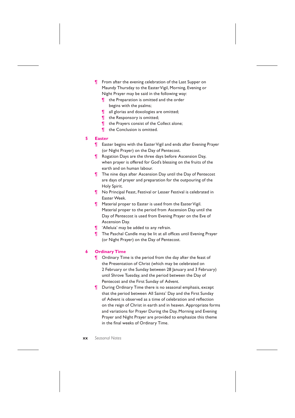- From after the evening celebration of the Last Supper on Maundy Thursday to the EasterVigil, Morning, Evening or Night Prayer may be said in the following way:
	- ¶ the Preparation is omitted and the order
	- begins with the psalms;
	- ¶ all glorias and doxologies are omitted;
	- ¶ the Responsory is omitted;
	- ¶ the Prayers consist of the Collect alone;
	- ¶ the Conclusion is omitted.

## **5 Easter**

- ¶ Easter begins with the EasterVigil and ends after Evening Prayer (or Night Prayer) on the Day of Pentecost.
- ¶ Rogation Days are the three days before Ascension Day, when prayer is offered for God's blessing on the fruits of the earth and on human labour.
- The nine days after Ascension Day until the Day of Pentecost are days of prayer and preparation for the outpouring of the Holy Spirit.
- ¶ No Principal Feast, Festival or Lesser Festival is celebrated in Easter Week.
- **T** Material proper to Easter is used from the Easter Vigil. Material proper to the period from Ascension Day until the Day of Pentecost is used from Evening Prayer on the Eve of Ascension Day.
- ¶ 'Alleluia' may be added to any refrain.
- The Paschal Candle may be lit at all offices until Evening Prayer (or Night Prayer) on the Day of Pentecost.

#### **6 Ordinary Time**

- ¶ Ordinary Time is the period from the day after the feast of the Presentation of Christ (which may be celebrated on 2 February or the Sunday between 28 January and 3 February) until Shrove Tuesday, and the period between the Day of Pentecost and the First Sunday of Advent.
- ¶ During Ordinary Time there is no seasonal emphasis, except that the period between All Saints' Day and the First Sunday of Advent is observed as a time of celebration and reflection on the reign of Christ in earth and in heaven. Appropriate forms and variations for Prayer During the Day, Morning and Evening Prayer and Night Prayer are provided to emphasize this theme in the final weeks of Ordinary Time.
- **xx** *Seasonal Notes*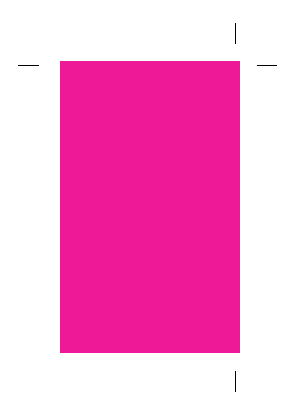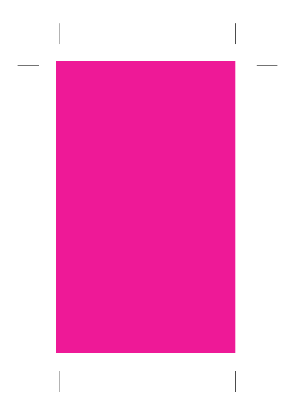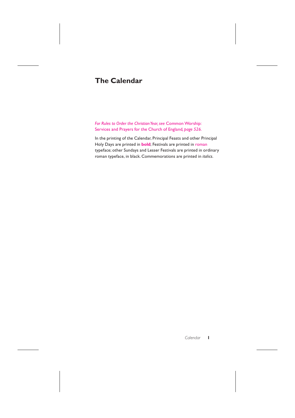# **The Calendar**

*For Rules to Order the Christian Year, see* Common Worship: Services and Prayers for the Church of England*, page 526.*

In the printing of the Calendar, Principal Feasts and other Principal Holy Days are printed in **bold**; Festivals are printed in roman typeface; other Sundays and Lesser Festivals are printed in ordinary roman typeface, in black. Commemorations are printed in *italics*.

*Calendar* **1**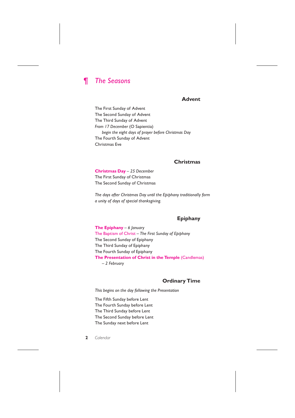## ¶ *The Seasons*

### **Advent**

The First Sunday of Advent The Second Sunday of Advent The Third Sunday of Advent *From 17 December (O Sapientia) begin the eight days of prayer before Christmas Day* The Fourth Sunday of Advent Christmas Eve

## **Christmas**

**Christmas Day** *– 25 December* The First Sunday of Christmas The Second Sunday of Christmas

*The days after Christmas Day until the Epiphany traditionally form a unity of days of special thanksgiving.*

## **Epiphany**

**The Epiphany** *– 6 January* The Baptism of Christ *– The First Sunday of Epiphany* The Second Sunday of Epiphany The Third Sunday of Epiphany The Fourth Sunday of Epiphany **The Presentation of Christ in the Temple** (Candlemas) – *2 February*

## **Ordinary Time**

*This begins on the day following the Presentation*

The Fifth Sunday before Lent The Fourth Sunday before Lent The Third Sunday before Lent The Second Sunday before Lent The Sunday next before Lent

**2** *Calendar*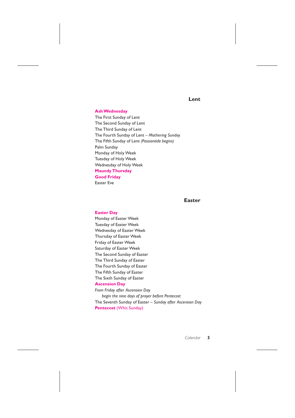#### **Lent**

#### **Ash Wednesday**

The First Sunday of Lent The Second Sunday of Lent The Third Sunday of Lent The Fourth Sunday of Lent *– Mothering Sunday* The Fifth Sunday of Lent *(Passiontide begins)* Palm Sunday Monday of Holy Week Tuesday of Holy Week Wednesday of Holy Week **Maundy Thursday Good Friday** Easter Eve

## **Easter**

#### **Easter Day**

Monday of Easter Week Tuesday of Easter Week Wednesday of Easter Week Thursday of Easter Week Friday of Easter Week Saturday of Easter Week The Second Sunday of Easter The Third Sunday of Easter The Fourth Sunday of Easter The Fifth Sunday of Easter The Sixth Sunday of Easter **Ascension Day** *From Friday after Ascension Day begin the nine days of prayer before Pentecost*

The Seventh Sunday of Easter *– Sunday after Ascension Day* **Pentecost (Whit Sunday)**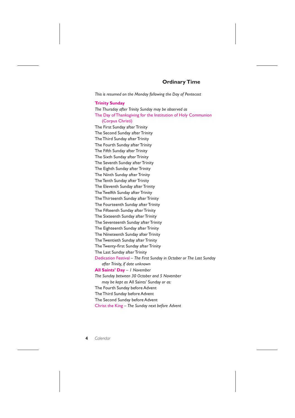## **Ordinary Time**

*This is resumed on the Monday following the Day of Pentecost*

#### **Trinity Sunday**

*The Thursday after Trinity Sunday may be observed as* The Day of Thanksgiving for the Institution of Holy Communion (Corpus Christi) The First Sunday after Trinity The Second Sunday after Trinity The Third Sunday after Trinity The Fourth Sunday after Trinity The Fifth Sunday after Trinity The Sixth Sunday after Trinity The Seventh Sunday after Trinity The Eighth Sunday after Trinity The Ninth Sunday after Trinity The Tenth Sunday after Trinity The Eleventh Sunday after Trinity The Twelfth Sunday after Trinity The Thirteenth Sunday after Trinity The Fourteenth Sunday after Trinity The Fifteenth Sunday after Trinity The Sixteenth Sunday after Trinity The Seventeenth Sunday after Trinity The Eighteenth Sunday after Trinity The Nineteenth Sunday after Trinity The Twentieth Sunday after Trinity The Twenty-first Sunday after Trinity The Last Sunday after Trinity Dedication Festival *– The First Sunday in October or The Last Sunday after Trinity, if date unknown* **All Saints' Day** *– 1 November The Sunday between 30 October and 5 November may be kept as* All Saints' Sunday *or as:* The Fourth Sunday before Advent The Third Sunday before Advent The Second Sunday before Advent Christ the King *– The Sunday next before Advent*

**4** *Calendar*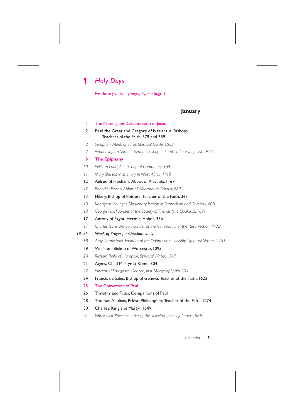# ¶ *Holy Days*

*For the key to the typography, see page 1.*

## **January**

#### 1 The Naming and Circumcision of Jesus

- 2 Basil the Great and Gregory of Nazianzus, Bishops, Teachers of the Faith, 379 and 389
- *2 Seraphim, Monk of Sarov, Spiritual Guide, 1833*
- *2 Vedanayagam Samuel Azariah, Bishop in South India, Evangelist, 1945*

#### **6 The Epiphany**

- *10 William Laud, Archbishop of Canterbury, 1645*
- *11 Mary Slessor, Missionary in West Africa, 1915*
- 12 Aelred of Hexham, Abbot of Rievaulx, 1167
- *12 Benedict Biscop, Abbot of Wearmouth, Scholar, 689*
- 13 Hilary, Bishop of Poitiers, Teacher of the Faith, 367
- *13 Kentigern (Mungo), Missionary Bishop in Strathclyde and Cumbria, 603*
- *13 George Fox, Founder of the Society of Friends (the Quakers), 1691*
- 17 Antony of Egypt, Hermit, Abbot, 356
- *17 Charles Gore, Bishop, Founder of the Community of the Resurrection, 1932*

#### *18–25 Week of Prayer for Christian Unity*

- *18* Amy Carmichael, Founder of the Dohnavur Fellowship, Spiritual Writer, 1951
- 19 Wulfstan, Bishop of Worcester, 1095
- *20 Richard Rolle of Hampole, Spiritual Writer, 1349*
- 21 Agnes, Child Martyr at Rome, 304
- *22 Vincent of Saragossa, Deacon, first Martyr of Spain, 304*
- 24 Francis de Sales, Bishop of Geneva, Teacher of the Faith, 1622
- 25 The Conversion of Paul
- 26 Timothy and Titus, Companions of Paul
- 28 Thomas Aquinas, Priest, Philosopher, Teacher of the Faith, 1274
- 30 Charles, King and Martyr, 1649
- *31 John Bosco, Priest, Founder of the Salesian Teaching Order, 1888*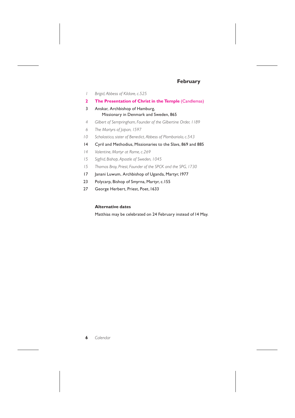## **February**

- *1 Brigid, Abbess of Kildare, c.525*
- **2 The Presentation of Christ in the Temple (Candlemas)**
- 3 Anskar, Archbishop of Hamburg, Missionary in Denmark and Sweden, 865
- *4 Gilbert of Sempringham, Founder of the Gilbertine Order, 1189*
- *6 The Martyrs of Japan, 1597*
- *10 Scholastica, sister of Benedict, Abbess of Plombariola, c.543*
- 14 Cyril and Methodius, Missionaries to the Slavs, 869 and 885
- *14 Valentine, Martyr at Rome, c.269*
- *15 Sigfrid, Bishop, Apostle of Sweden, 1045*
- *15 Thomas Bray, Priest, Founder of the SPCK and the SPG, 1730*
- 17 Janani Luwum, Archbishop of Uganda, Martyr, 1977
- 23 Polycarp, Bishop of Smyrna, Martyr, c.155
- 27 George Herbert, Priest, Poet, 1633

## **Alternative dates**

Matthias may be celebrated on 24 February instead of 14 May.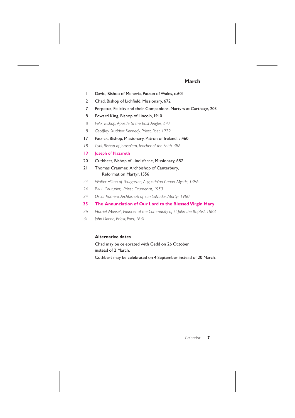## **March**

- 1 David, Bishop of Menevia, Patron of Wales, c.601
- 2 Chad, Bishop of Lichfield, Missionary, 672
- 7 Perpetua, Felicity and their Companions, Martyrs at Carthage, 203
- 8 Edward King, Bishop of Lincoln,1910
- *8 Felix, Bishop, Apostle to the East Angles, 647*
- *8 Geoffrey Studdert Kennedy, Priest, Poet, 1929*
- 17 Patrick, Bishop, Missionary, Patron of Ireland, c.460
- *18 Cyril, Bishop of Jerusalem, Teacher of the Faith, 386*
- 19 Joseph of Nazareth
- 20 Cuthbert, Bishop of Lindisfarne, Missionary, 687
- 21 Thomas Cranmer, Archbishop of Canterbury, Reformation Martyr,1556
- *24 Walter Hilton of Thurgarton, Augustinian Canon, Mystic, 1396*
- 24 Paul Couturier, Priest, Ecumenist, 1953
- *24 Oscar Romero, Archbishop of San Salvador, Martyr, 1980*
- **25 The Annunciation of Our Lord to the Blessed Virgin Mary**
- *26 Harriet Monsell, Founder of the Community of St John the Baptist, 1883*
- *31 John Donne, Priest, Poet, 1631*

#### **Alternative dates**

Chad may be celebrated with Cedd on 26 October instead of 2 March.

Cuthbert may be celebrated on 4 September instead of 20 March*.*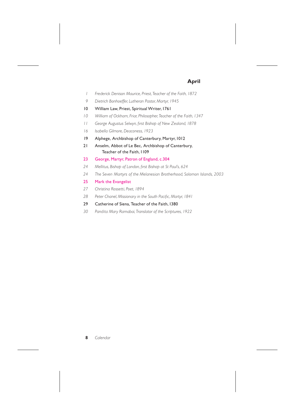## **April**

- *1 Frederick Denison Maurice, Priest, Teacher of the Faith, 1872*
- *9 Dietrich Bonhoeffer, Lutheran Pastor, Martyr, 1945*
- 10 William Law, Priest, Spiritual Writer,1761
- *10 William of Ockham, Friar, Philosopher, Teacher of the Faith, 1347*
- *11 George Augustus Selwyn, first Bishop of New Zealand, 1878*
- *16 Isabella Gilmore, Deaconess, 1923*
- 19 Alphege, Archbishop of Canterbury, Martyr, 1012
- 21 Anselm, Abbot of Le Bec, Archbishop of Canterbury, Teacher of the Faith, I 109
- 23 George, Martyr, Patron of England, c.304
- *24 Mellitus, Bishop of London, first Bishop at St Paul's, 624*
- *24 The Seven Martyrs of the Melanesian Brotherhood, Solomon Islands, 2003*
- 25 Mark the Evangelist
- *27 Christina Rossetti, Poet, 1894*
- *28 Peter Chanel, Missionary in the South Pacific, Martyr, 1841*
- 29 Catherine of Siena, Teacher of the Faith, 1380
- *30 Pandita Mary Ramabai, Translator of the Scriptures, 1922*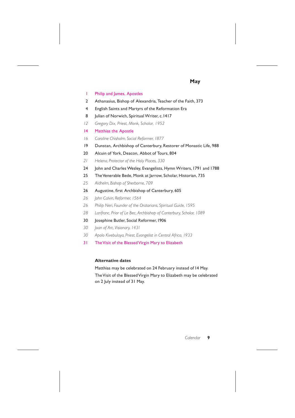## **May**

- 1 Philip and James, Apostles
- 2 Athanasius, Bishop of Alexandria, Teacher of the Faith, 373
- 4 English Saints and Martyrs of the Reformation Era
- 8 Julian of Norwich, Spiritual Writer, c.1417
- *12 Gregory Dix, Priest, Monk, Scholar, 1952*
- 14 Matthias the Apostle
- *16 Caroline Chisholm, Social Reformer, 1877*
- 19 Dunstan, Archbishop of Canterbury, Restorer of Monastic Life, 988
- 20 Alcuin of York, Deacon, Abbot of Tours, 804
- *21 Helena, Protector of the Holy Places, 330*
- 24 John and Charles Wesley, Evangelists, Hymn Writers, 1791 and 1788
- 25 The Venerable Bede, Monk at Jarrow, Scholar, Historian, 735
- *25 Aldhelm, Bishop of Sherborne, 709*
- 26 Augustine, first Archbishop of Canterbury, 605
- *26 John Calvin, Reformer, 1564*
- *26 Philip Neri, Founder of the Oratorians, Spiritual Guide, 1595*
- *28 Lanfranc, Prior of Le Bec, Archbishop of Canterbury, Scholar, 1089*
- 30 Josephine Butler, Social Reformer,1906
- *30 Joan of Arc, Visionary, 1431*
- *30 Apolo Kivebulaya, Priest, Evangelist in Central Africa, 1933*
- 31 The Visit of the Blessed Virgin Mary to Elizabeth

#### **Alternative dates**

Matthias may be celebrated on 24 February instead of 14 May. The Visit of the Blessed Virgin Mary to Elizabeth may be celebrated on 2 July instead of 31 May.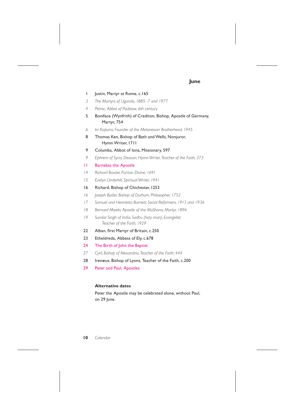## **June**

- 1 Justin, Martyr at Rome, c.165
- *3 The Martyrs of Uganda, 1885–7 and 1977*
- *4 Petroc, Abbot of Padstow, 6th century*
- 5 Boniface (Wynfrith) of Crediton, Bishop, Apostle of Germany, Martyr, 754
- *6 Ini Kopuria, Founder of the Melanesian Brotherhood, 1945*
- 8 Thomas Ken, Bishop of Bath and Wells, Nonjuror, Hymn Writer,1711
- 9 Columba, Abbot of Iona, Missionary, 597
- *9 Ephrem of Syria, Deacon, Hymn Writer, Teacher of the Faith, 373*
- 11 Barnabas the Apostle
- *14 Richard Baxter, Puritan Divine, 1691*
- *15 Evelyn Underhill, Spiritual Writer, 1941*
- 16 Richard, Bishop of Chichester, 1253
- *16 Joseph Butler, Bishop of Durham, Philosopher, 1752*
- *17 Samuel and Henrietta Barnett, Social Reformers, 1913 and 1936*
- *18 Bernard Mizeki, Apostle of the MaShona, Martyr, 1896*
- *19 Sundar Singh of India, Sadhu (holy man), Evangelist, Teacher of the Faith, 1929*
- 22 Alban, first Martyr of Britain, c.250
- 23 Etheldreda, Abbess of Ely, c.678
- 24 The Birth of John the Baptist
- *27 Cyril, Bishop of Alexandria, Teacher of the Faith, 444*
- 28 Irenæus, Bishop of Lyons, Teacher of the Faith, c.200
- 29 Peter and Paul, Apostles

## **Alternative dates**

Peter the Apostle may be celebrated alone, without Paul, on 29 June.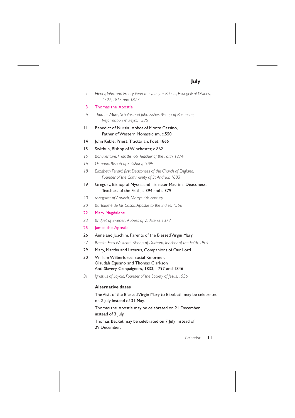## **July**

*1 Henry, John, and Henry Venn the younger, Priests, Evangelical Divines, 1797, 1813 and 1873*

#### 3 Thomas the Apostle

- *6 Thomas More, Scholar, and John Fisher, Bishop of Rochester, Reformation Martyrs, 1535*
- 11 Benedict of Nursia, Abbot of Monte Cassino, Father of Western Monasticism, c.550
- 14 John Keble, Priest, Tractarian, Poet, 1866
- 15 Swithun, Bishop of Winchester, c.862
- *15 Bonaventure, Friar, Bishop, Teacher of the Faith, 1274*
- *16 Osmund, Bishop of Salisbury, 1099*
- *18 Elizabeth Ferard, first Deaconess of the Church of England, Founder of the Community of St Andrew, 1883*
- 19 Gregory, Bishop of Nyssa, and his sister Macrina, Deaconess, Teachers of the Faith, c.394 and c.379
- *20 Margaret of Antioch, Martyr, 4th century*
- *20 Bartolomé de las Casas, Apostle to the Indies, 1566*
- 22 Mary Magdalene
- *23 Bridget of Sweden, Abbess of Vadstena, 1373*
- 25 James the Apostle
- 26 Anne and Joachim, Parents of the Blessed Virgin Mary
- *27 Brooke Foss Westcott, Bishop of Durham, Teacher of the Faith, 1901*
- 29 Mary, Martha and Lazarus, Companions of Our Lord
- 30 William Wilberforce, Social Reformer, Anti-Slavery Campaigners, 1833, 1797 and 1846 Olaudah Equiano and Thomas Clarkson
- *31 Ignatius of Loyola, Founder of the Society of Jesus, 1556*

#### **Alternative dates**

The Visit of the Blessed Virgin Mary to Elizabeth may be celebrated on 2 July instead of 31 May.

Thomas the Apostle may be celebrated on 21 December instead of 3 July.

Thomas Becket may be celebrated on 7 July instead of 29 December*.*

*Calendar* **11**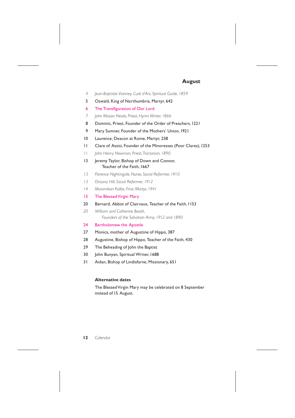## **August**

- *4 Jean-Baptiste Vianney, Curé d'Ars, Spiritual Guide, 1859*
- 5 Oswald, King of Northumbria, Martyr, 642
- 6 The Transfiguration of Our Lord
- *7 John Mason Neale, Priest, Hymn Writer, 1866*
- 8 Dominic, Priest, Founder of the Order of Preachers, 1221
- 9 Mary Sumner, Founder of the Mothers' Union,1921
- 10 Laurence, Deacon at Rome, Martyr, 258
- 11 Clare of Assisi, Founder of the Minoresses (Poor Clares),1253
- *11 John Henry Newman, Priest, Tractarian, 1890*
- 13 Jeremy Taylor, Bishop of Down and Connor, Teacher of the Faith, 1667
- *13 Florence Nightingale, Nurse, Social Reformer, 1910*
- *13 Octavia Hill, Social Reformer, 1912*
- *14 Maximilian Kolbe, Friar, Martyr, 1941*
- 15 The Blessed Virgin Mary
- 20 Bernard, Abbot of Clairvaux, Teacher of the Faith, 1153
- *20 William and Catherine Booth, Founders of the Salvation Army, 1912 and 1890*
- 24 Bartholomew the Apostle
- 27 Monica, mother of Augustine of Hippo, 387
- 28 Augustine, Bishop of Hippo, Teacher of the Faith, 430
- 29 The Beheading of John the Baptist
- 30 John Bunyan, Spiritual Writer, 1688
- 31 Aidan, Bishop of Lindisfarne, Missionary, 651

#### **Alternative dates**

The Blessed Virgin Mary may be celebrated on 8 September instead of 15 August.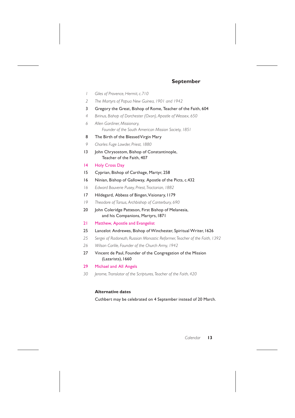## **September**

- *1 Giles of Provence, Hermit, c.710*
- *2 The Martyrs of Papua New Guinea, 1901 and 1942*
- 3 Gregory the Great, Bishop of Rome, Teacher of the Faith, 604
- *4 Birinus, Bishop of Dorchester (Oxon), Apostle of Wessex, 650*
- *6 Allen Gardiner, Missionary, Founder of the South American Mission Society, 1851*
- 8 The Birth of the Blessed Virgin Mary
- *9 Charles Fuge Lowder, Priest, 1880*
- 13 John Chrysostom, Bishop of Constantinople, Teacher of the Faith, 407
- 14 Holy Cross Day
- 15 Cyprian, Bishop of Carthage, Martyr, 258
- 16 Ninian, Bishop of Galloway, Apostle of the Picts, c.432
- *16 Edward Bouverie Pusey, Priest, Tractarian, 1882*
- 17 Hildegard, Abbess of Bingen,Visionary,1179
- *19 Theodore of Tarsus, Archbishop of Canterbury, 690*
- 20 John Coleridge Patteson, First Bishop of Melanesia, and his Companions, Martyrs,1871
- 21 Matthew, Apostle and Evangelist
- 25 Lancelot Andrewes, Bishop of Winchester, Spiritual Writer,1626
- *25 Sergei of Radonezh, Russian Monastic Reformer, Teacher of the Faith, 1392*
- *26 Wilson Carlile, Founder of the Church Army, 1942*
- 27 Vincent de Paul, Founder of the Congregation of the Mission (Lazarists), 1660
- 29 Michael and All Angels
- *30 Jerome, Translator of the Scriptures, Teacher of the Faith, 420*

## **Alternative dates**

Cuthbert may be celebrated on 4 September instead of 20 March.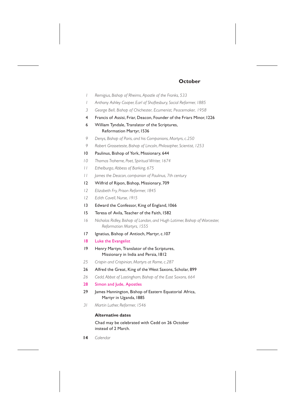## **October**

- *1 Remigius, Bishop of Rheims, Apostle of the Franks, 533*
- *1 Anthony Ashley Cooper, Earl of Shaftesbury, Social Reformer, 1885*
- *3 George Bell, Bishop of Chichester, Ecumenist, Peacemaker, 1958*
- 4 Francis of Assisi, Friar, Deacon, Founder of the Friars Minor,1226
- 6 William Tyndale, Translator of the Scriptures, Reformation Martyr, 1536
- *9 Denys, Bishop of Paris, and his Companions, Martyrs, c.250*
- *9 Robert Grosseteste, Bishop of Lincoln, Philosopher, Scientist, 1253*
- 10 Paulinus, Bishop of York, Missionary, 644
- *10 Thomas Traherne, Poet, Spiritual Writer, 1674*
- *11 Ethelburga, Abbess of Barking, 675*
- *11 James the Deacon, companion of Paulinus, 7th century*
- 12 Wilfrid of Ripon, Bishop, Missionary, 709
- *12 Elizabeth Fry, Prison Reformer, 1845*
- *12 Edith Cavell, Nurse, 1915*
- 13 Edward the Confessor, King of England, 1066
- 15 Teresa of Avila, Teacher of the Faith,1582
- *16 Nicholas Ridley, Bishop of London, and Hugh Latimer, Bishop of Worcester, Reformation Martyrs, 1555*
- 17 Ignatius, Bishop of Antioch, Martyr, c.107
- 18 Luke the Evangelist
- 19 Henry Martyn, Translator of the Scriptures, Missionary in India and Persia,1812
- *25 Crispin and Crispinian, Martyrs at Rome, c.287*
- 26 Alfred the Great, King of the West Saxons, Scholar, 899
- *26 Cedd, Abbot of Lastingham, Bishop of the East Saxons, 664*
- 28 Simon and Jude, Apostles
- 29 James Hannington, Bishop of Eastern Equatorial Africa, Martyr in Uganda,1885
- *31 Martin Luther, Reformer, 1546*

#### **Alternative dates**

Chad may be celebrated with Cedd on 26 October instead of 2 March.

**14** *Calendar*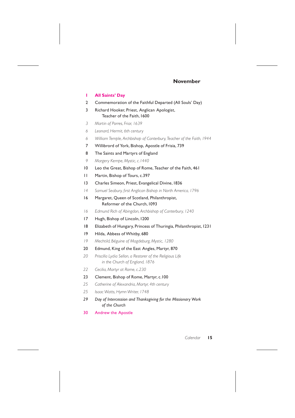## **November**

## **1 All Saints' Day**

- 2 Commemoration of the Faithful Departed (All Souls' Day)
- 3 Richard Hooker, Priest, Anglican Apologist, Teacher of the Faith, 1600
- *3 Martin of Porres, Friar, 1639*
- *6 Leonard, Hermit, 6th century*
- *6 William Temple, Archbishop of Canterbury, Teacher of the Faith, 1944*
- 7 Willibrord of York, Bishop, Apostle of Frisia, 739
- 8 The Saints and Martyrs of England
- *9 Margery Kempe, Mystic, c.1440*
- 10 Leo the Great, Bishop of Rome, Teacher of the Faith, 461
- 11 Martin, Bishop of Tours, c.397
- 13 Charles Simeon, Priest, Evangelical Divine, 1836
- *14 Samuel Seabury, first Anglican Bishop in North America, 1796*
- 16 Margaret, Queen of Scotland, Philanthropist, Reformer of the Church,1093
- *16 Edmund Rich of Abingdon, Archbishop of Canterbury, 1240*
- 17 Hugh, Bishop of Lincoln,1200
- 18 Elizabeth of Hungary, Princess of Thuringia, Philanthropist,1231
- 19 Hilda, Abbess of Whitby, 680
- *19 Mechtild, Béguine of Magdeburg, Mystic, 1280*
- 20 Edmund, King of the East Angles, Martyr, 870
- *20 Priscilla Lydia Sellon, a Restorer of the Religious Life in the Church of England, 1876*
- *22 Cecilia, Martyr at Rome, c.230*
- 23 Clement, Bishop of Rome, Martyr, c.100
- *25 Catherine of Alexandria, Martyr, 4th century*
- *25 Isaac Watts, Hymn Writer, 1748*
- *29 Day of Intercession and Thanksgiving for the Missionary Work of the Church*
- 30 Andrew the Apostle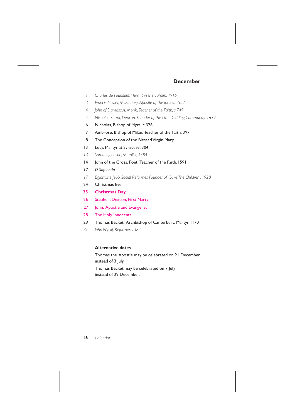## **December**

- *1 Charles de Foucauld, Hermit in the Sahara, 1916*
- *3 Francis Xavier, Missionary, Apostle of the Indies, 1552*
- *4 John of Damascus, Monk , Teacher of the Faith, c.749*
- *4 Nicholas Ferrar, Deacon, Founder of the Little Gidding Community, 1637*
- 6 Nicholas, Bishop of Myra, c.326
- 7 Ambrose, Bishop of Milan, Teacher of the Faith, 397
- 8 The Conception of the Blessed Virgin Mary
- 13 Lucy, Martyr at Syracuse, 304
- *13 Samuel Johnson, Moralist, 1784*
- 14 John of the Cross, Poet, Teacher of the Faith, 1591
- *17 O Sapientia*
- *17 Eglantyne Jebb, Social Reformer, Founder of 'Save The Children', 1928*
- 24 Christmas Eve
- **25 Christmas Day**
- 26 Stephen, Deacon, First Martyr
- 27 John, Apostle and Evangelist
- 28 The Holy Innocents
- 29 Thomas Becket, Archbishop of Canterbury, Martyr, 1170
- *31 John Wyclif, Reformer, 1384*

#### **Alternative dates**

Thomas the Apostle may be celebrated on 21 December instead of 3 July.

Thomas Becket may be celebrated on 7 July instead of 29 December.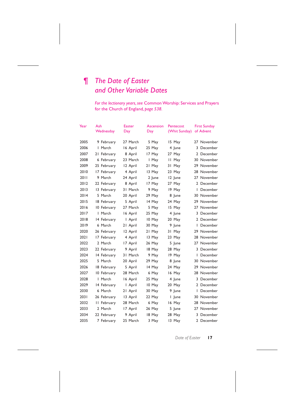# ¶ *The Date of Easter and Other Variable Dates*

*For the lectionary years, see* Common Worship: Services and Prayers for the Church of England*, page 538.*

| Year |  | Ash<br>Wednesday |  | Easter<br>Day |  | <b>Ascension</b> |  | Pentecost     |  | <b>First Sunday</b> |  |
|------|--|------------------|--|---------------|--|------------------|--|---------------|--|---------------------|--|
|      |  |                  |  |               |  | Day              |  | (Whit Sunday) |  | of Advent           |  |
| 2005 |  | 9 February       |  | 27 March      |  | 5 May            |  | 15 May        |  | 27 November         |  |
| 2006 |  | 1 March          |  | 16 April      |  | 25 May           |  | 4 June        |  | 3 December          |  |
| 2007 |  | 21 February      |  | 8 April       |  | 17 May           |  | 27 May        |  | 2 December          |  |
| 2008 |  | 6 February       |  | 23 March      |  | 1 May            |  | II May        |  | 30 November         |  |
| 2009 |  | 25 February      |  | 12 April      |  | 21 May           |  | 31 May        |  | 29 November         |  |
| 2010 |  | 17 February      |  | 4 April       |  | 13 May           |  | 23 May        |  | 28 November         |  |
| 2011 |  | 9 March          |  | 24 April      |  | 2 June           |  | 12 June       |  | 27 November         |  |
| 2012 |  | 22 February      |  | 8 April       |  | 17 May           |  | 27 May        |  | 2 December          |  |
| 2013 |  | 13 February      |  | 31 March      |  | 9 May            |  | 19 May        |  | I December          |  |
| 2014 |  | 5 March          |  | 20 April      |  | 29 May           |  | 8 June        |  | 30 November         |  |
| 2015 |  | 18 February      |  | 5 April       |  | 14 May           |  | 24 May        |  | 29 November         |  |
| 2016 |  | 10 February      |  | 27 March      |  | 5 May            |  | 15 May        |  | 27 November         |  |
| 2017 |  | 1 March          |  | 16 April      |  | 25 May           |  | 4 June        |  | 3 December          |  |
| 2018 |  | 14 February      |  | I April       |  | 10 May           |  | 20 May        |  | 2 December          |  |
| 2019 |  | 6 March          |  | 21 April      |  | 30 May           |  | 9 June        |  | I December          |  |
| 2020 |  | 26 February      |  | 12 April      |  | 21 May           |  | 31 May        |  | 29 November         |  |
| 2021 |  | 17 February      |  | 4 April       |  | 13 May           |  | 23 May        |  | 28 November         |  |
| 2022 |  | 2 March          |  | 17 April      |  | 26 May           |  | 5 June        |  | 27 November         |  |
| 2023 |  | 22 February      |  | 9 April       |  | 18 May           |  | 28 May        |  | 3 December          |  |
| 2024 |  | 14 February      |  | 31 March      |  | 9 May            |  | 19 May        |  | 1 December          |  |
| 2025 |  | 5 March          |  | 20 April      |  | 29 May           |  | 8 June        |  | 30 November         |  |
| 2026 |  | 18 February      |  | 5 April       |  | 14 May           |  | 24 May        |  | 29 November         |  |
| 2027 |  | 10 February      |  | 28 March      |  | 6 May            |  | 16 May        |  | 28 November         |  |
| 2028 |  | I March          |  | 16 April      |  | 25 May           |  | 4 June        |  | 3 December          |  |
| 2029 |  | 14 February      |  | I April       |  | 10 May           |  | 20 May        |  | 2 December          |  |
| 2030 |  | 6 March          |  | 21 April      |  | 30 May           |  | 9 June        |  | I December          |  |
| 2031 |  | 26 February      |  | 13 April      |  | 22 May           |  | l June        |  | 30 November         |  |
| 2032 |  | II February      |  | 28 March      |  | 6 May            |  | 16 May        |  | 28 November         |  |
| 2033 |  | 2 March          |  | 17 April      |  | 26 May           |  | 5 June        |  | 27 November         |  |
| 2034 |  | 22 February      |  | 9 April       |  | 18 May           |  | 28 May        |  | 3 December          |  |
| 2035 |  | 7 February       |  | 25 March      |  | 3 May            |  | 13 May        |  | 2 December          |  |

*Date of Easter* **17**